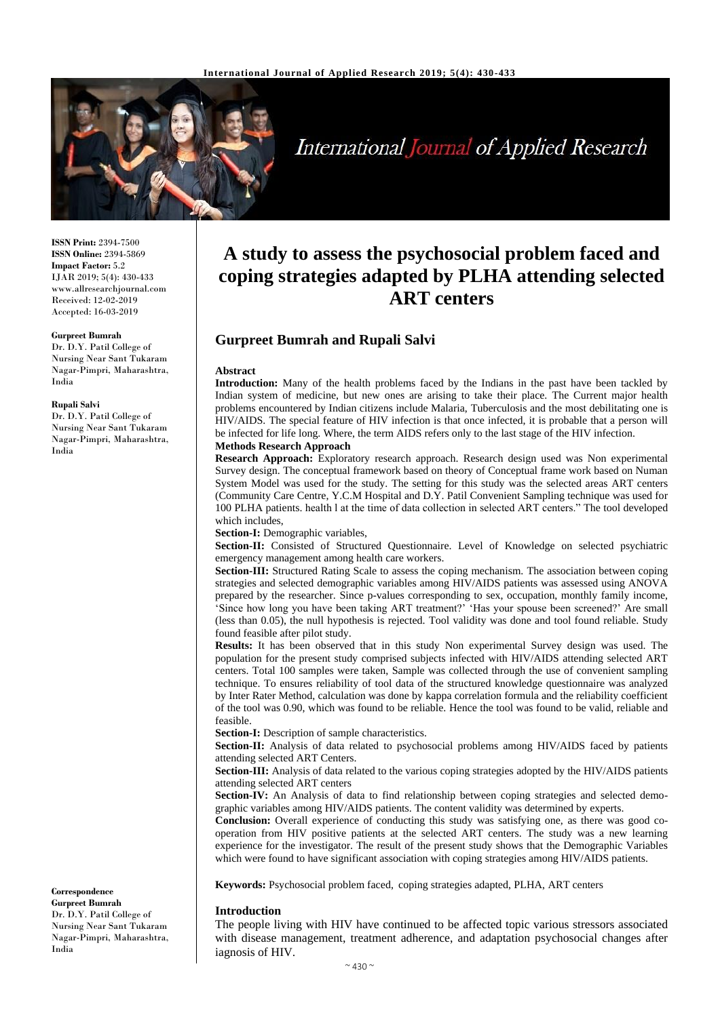

**International Journal of Applied Research** 

**ISSN Print:** 2394-7500 **ISSN Online:** 2394-5869 **Impact Factor:** 5.2 IJAR 2019; 5(4): 430-433 www.allresearchjournal.com Received: 12-02-2019 Accepted: 16-03-2019

#### **Gurpreet Bumrah**

Dr. D.Y. Patil College of Nursing Near Sant Tukaram Nagar-Pimpri, Maharashtra, India

#### **Rupali Salvi**

Dr. D.Y. Patil College of Nursing Near Sant Tukaram Nagar-Pimpri, Maharashtra, India

#### **Correspondence Gurpreet Bumrah** Dr. D.Y. Patil College of Nursing Near Sant Tukaram Nagar-Pimpri, Maharashtra, India

# **A study to assess the psychosocial problem faced and coping strategies adapted by PLHA attending selected ART centers**

# **Gurpreet Bumrah and Rupali Salvi**

#### **Abstract**

**Introduction:** Many of the health problems faced by the Indians in the past have been tackled by Indian system of medicine, but new ones are arising to take their place. The Current major health problems encountered by Indian citizens include Malaria, Tuberculosis and the most debilitating one is HIV/AIDS. The special feature of HIV infection is that once infected, it is probable that a person will be infected for life long. Where, the term AIDS refers only to the last stage of the HIV infection. **Methods Research Approach**

**Research Approach:** Exploratory research approach. Research design used was Non experimental Survey design. The conceptual framework based on theory of Conceptual frame work based on Numan System Model was used for the study. The setting for this study was the selected areas ART centers (Community Care Centre, Y.C.M Hospital and D.Y. Patil Convenient Sampling technique was used for 100 PLHA patients. health l at the time of data collection in selected ART centers." The tool developed which includes,

**Section-I:** Demographic variables,

**Section-II:** Consisted of Structured Questionnaire. Level of Knowledge on selected psychiatric emergency management among health care workers.

**Section-III:** Structured Rating Scale to assess the coping mechanism. The association between coping strategies and selected demographic variables among HIV/AIDS patients was assessed using ANOVA prepared by the researcher. Since p-values corresponding to sex, occupation, monthly family income, 'Since how long you have been taking ART treatment?' 'Has your spouse been screened?' Are small (less than 0.05), the null hypothesis is rejected. Tool validity was done and tool found reliable. Study found feasible after pilot study.

**Results:** It has been observed that in this study Non experimental Survey design was used. The population for the present study comprised subjects infected with HIV/AIDS attending selected ART centers. Total 100 samples were taken, Sample was collected through the use of convenient sampling technique. To ensures reliability of tool data of the structured knowledge questionnaire was analyzed by Inter Rater Method, calculation was done by kappa correlation formula and the reliability coefficient of the tool was 0.90, which was found to be reliable. Hence the tool was found to be valid, reliable and feasible.

**Section-I:** Description of sample characteristics.

**Section-II:** Analysis of data related to psychosocial problems among HIV/AIDS faced by patients attending selected ART Centers.

**Section-III:** Analysis of data related to the various coping strategies adopted by the HIV/AIDS patients attending selected ART centers

**Section-IV:** An Analysis of data to find relationship between coping strategies and selected demographic variables among HIV/AIDS patients. The content validity was determined by experts.

**Conclusion:** Overall experience of conducting this study was satisfying one, as there was good cooperation from HIV positive patients at the selected ART centers. The study was a new learning experience for the investigator. The result of the present study shows that the Demographic Variables which were found to have significant association with coping strategies among HIV/AIDS patients.

**Keywords:** Psychosocial problem faced, coping strategies adapted, PLHA, ART centers

#### **Introduction**

The people living with HIV have continued to be affected topic various stressors associated with disease management, treatment adherence, and adaptation psychosocial changes after iagnosis of HIV.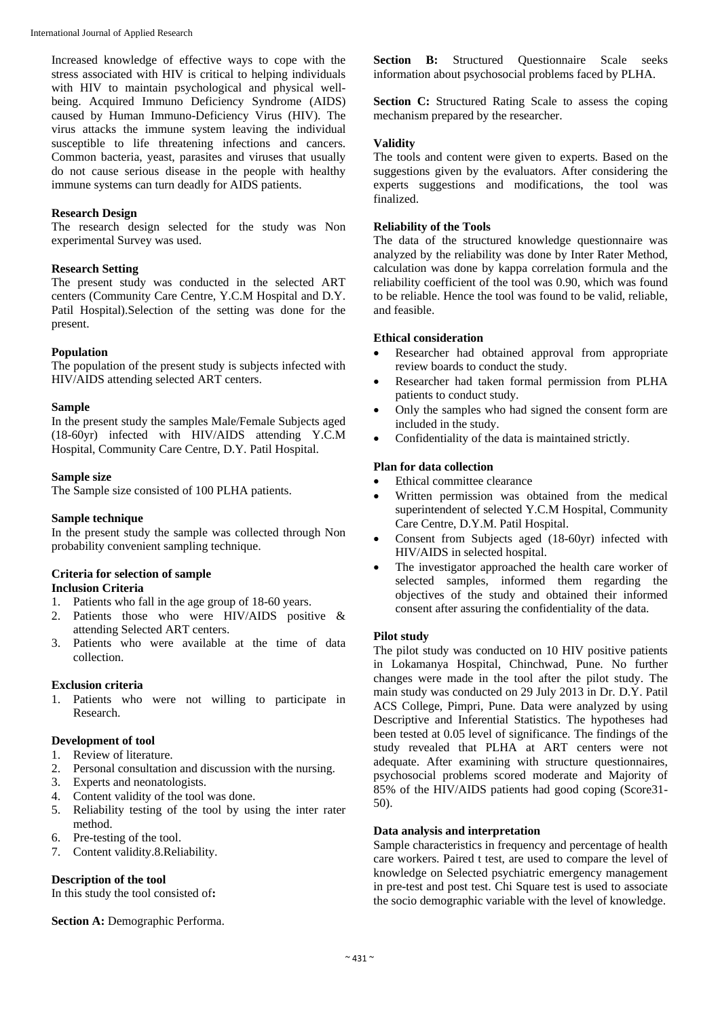Increased knowledge of effective ways to cope with the stress associated with HIV is critical to helping individuals with HIV to maintain psychological and physical wellbeing. Acquired Immuno Deficiency Syndrome (AIDS) caused by Human Immuno-Deficiency Virus (HIV). The virus attacks the immune system leaving the individual susceptible to life threatening infections and cancers. Common bacteria, yeast, parasites and viruses that usually do not cause serious disease in the people with healthy immune systems can turn deadly for AIDS patients.

#### **Research Design**

The research design selected for the study was Non experimental Survey was used.

#### **Research Setting**

The present study was conducted in the selected ART centers (Community Care Centre, Y.C.M Hospital and D.Y. Patil Hospital).Selection of the setting was done for the present.

#### **Population**

The population of the present study is subjects infected with HIV/AIDS attending selected ART centers.

#### **Sample**

In the present study the samples Male/Female Subjects aged (18-60yr) infected with HIV/AIDS attending Y.C.M Hospital, Community Care Centre, D.Y. Patil Hospital.

#### **Sample size**

The Sample size consisted of 100 PLHA patients.

## **Sample technique**

In the present study the sample was collected through Non probability convenient sampling technique.

#### **Criteria for selection of sample Inclusion Criteria**

- 1. Patients who fall in the age group of 18-60 years.
- 2. Patients those who were HIV/AIDS positive & attending Selected ART centers.
- 3. Patients who were available at the time of data collection.

## **Exclusion criteria**

1. Patients who were not willing to participate in Research.

## **Development of tool**

- 1. Review of literature.
- 2. Personal consultation and discussion with the nursing.
- 3. Experts and neonatologists.
- 4. Content validity of the tool was done.
- 5. Reliability testing of the tool by using the inter rater method.
- 6. Pre-testing of the tool.
- 7. Content validity.8.Reliability.

# **Description of the tool**

In this study the tool consisted of**:** 

**Section A: Demographic Performa.** 

**Section B:** Structured Questionnaire Scale seeks information about psychosocial problems faced by PLHA.

**Section C:** Structured Rating Scale to assess the coping mechanism prepared by the researcher.

#### **Validity**

The tools and content were given to experts. Based on the suggestions given by the evaluators. After considering the experts suggestions and modifications, the tool was finalized.

#### **Reliability of the Tools**

The data of the structured knowledge questionnaire was analyzed by the reliability was done by Inter Rater Method, calculation was done by kappa correlation formula and the reliability coefficient of the tool was 0.90, which was found to be reliable. Hence the tool was found to be valid, reliable, and feasible.

#### **Ethical consideration**

- Researcher had obtained approval from appropriate review boards to conduct the study.
- Researcher had taken formal permission from PLHA patients to conduct study.
- Only the samples who had signed the consent form are included in the study.
- Confidentiality of the data is maintained strictly.

#### **Plan for data collection**

- Ethical committee clearance
- Written permission was obtained from the medical superintendent of selected Y.C.M Hospital, Community Care Centre, D.Y.M. Patil Hospital.
- Consent from Subjects aged (18-60yr) infected with HIV/AIDS in selected hospital.
- The investigator approached the health care worker of selected samples, informed them regarding the objectives of the study and obtained their informed consent after assuring the confidentiality of the data.

## **Pilot study**

The pilot study was conducted on 10 HIV positive patients in Lokamanya Hospital, Chinchwad, Pune. No further changes were made in the tool after the pilot study. The main study was conducted on 29 July 2013 in Dr. D.Y. Patil ACS College, Pimpri, Pune. Data were analyzed by using Descriptive and Inferential Statistics. The hypotheses had been tested at 0.05 level of significance. The findings of the study revealed that PLHA at ART centers were not adequate. After examining with structure questionnaires, psychosocial problems scored moderate and Majority of 85% of the HIV/AIDS patients had good coping (Score31- 50).

# **Data analysis and interpretation**

Sample characteristics in frequency and percentage of health care workers. Paired t test, are used to compare the level of knowledge on Selected psychiatric emergency management in pre-test and post test. Chi Square test is used to associate the socio demographic variable with the level of knowledge.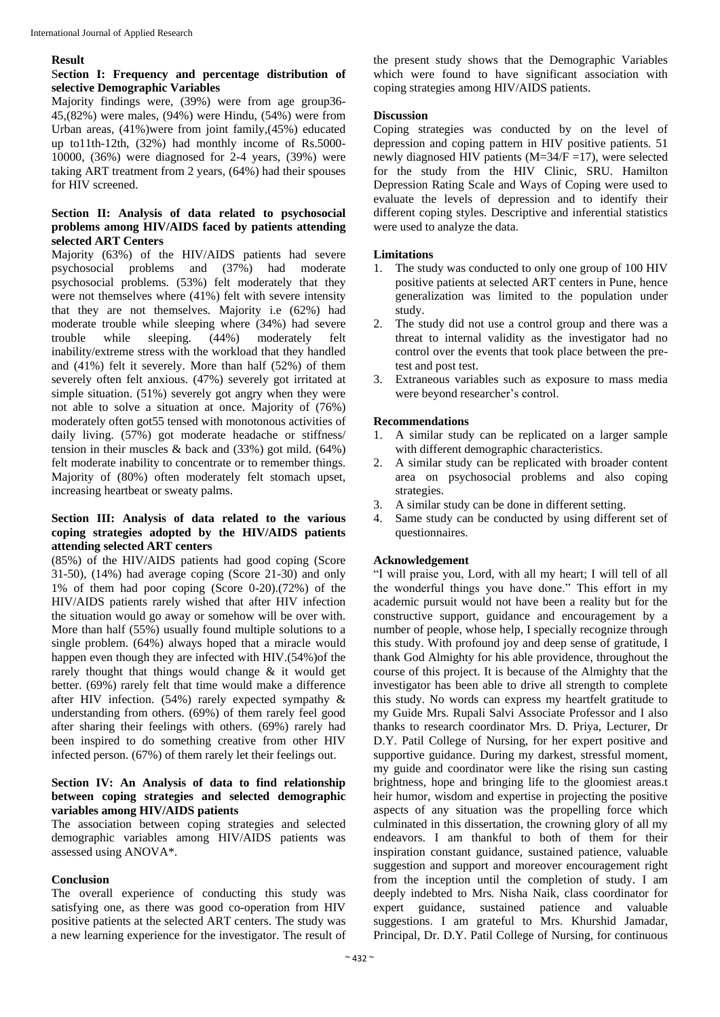#### **Result**

#### S**ection I: Frequency and percentage distribution of selective Demographic Variables**

Majority findings were, (39%) were from age group36- 45,(82%) were males, (94%) were Hindu, (54%) were from Urban areas, (41%)were from joint family,(45%) educated up to11th-12th, (32%) had monthly income of Rs.5000- 10000, (36%) were diagnosed for 2-4 years, (39%) were taking ART treatment from 2 years, (64%) had their spouses for HIV screened.

#### **Section II: Analysis of data related to psychosocial problems among HIV/AIDS faced by patients attending selected ART Centers**

Majority (63%) of the HIV/AIDS patients had severe psychosocial problems and (37%) had moderate psychosocial problems. (53%) felt moderately that they were not themselves where (41%) felt with severe intensity that they are not themselves. Majority i.e (62%) had moderate trouble while sleeping where (34%) had severe trouble while sleeping. (44%) moderately felt inability/extreme stress with the workload that they handled and (41%) felt it severely. More than half (52%) of them severely often felt anxious. (47%) severely got irritated at simple situation. (51%) severely got angry when they were not able to solve a situation at once. Majority of (76%) moderately often got55 tensed with monotonous activities of daily living. (57%) got moderate headache or stiffness/ tension in their muscles & back and (33%) got mild. (64%) felt moderate inability to concentrate or to remember things. Majority of (80%) often moderately felt stomach upset, increasing heartbeat or sweaty palms.

#### **Section III: Analysis of data related to the various coping strategies adopted by the HIV/AIDS patients attending selected ART centers**

(85%) of the HIV/AIDS patients had good coping (Score 31-50), (14%) had average coping (Score 21-30) and only 1% of them had poor coping (Score 0-20).(72%) of the HIV/AIDS patients rarely wished that after HIV infection the situation would go away or somehow will be over with. More than half (55%) usually found multiple solutions to a single problem. (64%) always hoped that a miracle would happen even though they are infected with HIV.(54%)of the rarely thought that things would change & it would get better. (69%) rarely felt that time would make a difference after HIV infection. (54%) rarely expected sympathy & understanding from others. (69%) of them rarely feel good after sharing their feelings with others. (69%) rarely had been inspired to do something creative from other HIV infected person. (67%) of them rarely let their feelings out.

#### **Section IV: An Analysis of data to find relationship between coping strategies and selected demographic variables among HIV/AIDS patients**

The association between coping strategies and selected demographic variables among HIV/AIDS patients was assessed using ANOVA\*.

#### **Conclusion**

The overall experience of conducting this study was satisfying one, as there was good co-operation from HIV positive patients at the selected ART centers. The study was a new learning experience for the investigator. The result of

the present study shows that the Demographic Variables which were found to have significant association with coping strategies among HIV/AIDS patients.

#### **Discussion**

Coping strategies was conducted by on the level of depression and coping pattern in HIV positive patients. 51 newly diagnosed HIV patients ( $M=34/F=17$ ), were selected for the study from the HIV Clinic, SRU. Hamilton Depression Rating Scale and Ways of Coping were used to evaluate the levels of depression and to identify their different coping styles. Descriptive and inferential statistics were used to analyze the data.

### **Limitations**

- 1. The study was conducted to only one group of 100 HIV positive patients at selected ART centers in Pune, hence generalization was limited to the population under study.
- 2. The study did not use a control group and there was a threat to internal validity as the investigator had no control over the events that took place between the pretest and post test.
- 3. Extraneous variables such as exposure to mass media were beyond researcher's control.

#### **Recommendations**

- 1. A similar study can be replicated on a larger sample with different demographic characteristics.
- 2. A similar study can be replicated with broader content area on psychosocial problems and also coping strategies.
- 3. A similar study can be done in different setting.
- Same study can be conducted by using different set of questionnaires.

#### **Acknowledgement**

"I will praise you, Lord, with all my heart; I will tell of all the wonderful things you have done." This effort in my academic pursuit would not have been a reality but for the constructive support, guidance and encouragement by a number of people, whose help, I specially recognize through this study. With profound joy and deep sense of gratitude, I thank God Almighty for his able providence, throughout the course of this project. It is because of the Almighty that the investigator has been able to drive all strength to complete this study. No words can express my heartfelt gratitude to my Guide Mrs. Rupali Salvi Associate Professor and I also thanks to research coordinator Mrs. D. Priya, Lecturer, Dr D.Y. Patil College of Nursing, for her expert positive and supportive guidance. During my darkest, stressful moment, my guide and coordinator were like the rising sun casting brightness, hope and bringing life to the gloomiest areas.t heir humor, wisdom and expertise in projecting the positive aspects of any situation was the propelling force which culminated in this dissertation, the crowning glory of all my endeavors. I am thankful to both of them for their inspiration constant guidance, sustained patience, valuable suggestion and support and moreover encouragement right from the inception until the completion of study. I am deeply indebted to Mrs. Nisha Naik, class coordinator for expert guidance, sustained patience and valuable suggestions. I am grateful to Mrs. Khurshid Jamadar, Principal, Dr. D.Y. Patil College of Nursing, for continuous